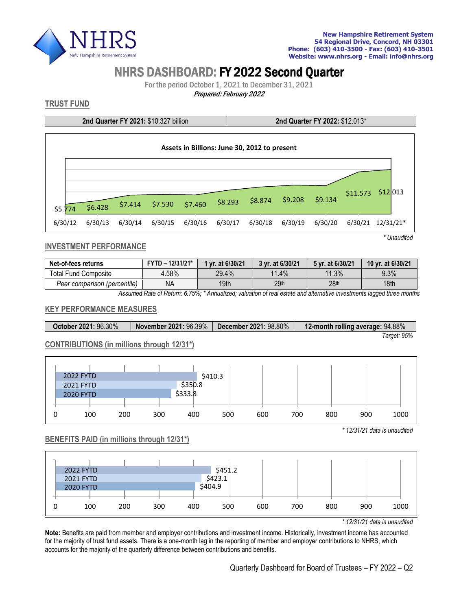

# NHRS DASHBOARD: FY 2022 Second Quarter

For the period October 1, 2021 to December 31, 2021

Prepared: February 2022

## **TRUST FUND**

**2nd Quarter FY 2021:** \$10.327 billion **2nd Quarter FY 2022:** \$12.013\*



#### **INVESTMENT PERFORMANCE**

| Net-of-fees returns          | $FYTD - 12/31/21*$ | 1 vr. at 6/30/21 |                  | 5 yr. at 6/30/21 | 10 yr. at 6/30/21 |
|------------------------------|--------------------|------------------|------------------|------------------|-------------------|
| Total Fund Composite         | $.58\%$            | 29.4%            | 11.4%            | 11.3%            | 9.3%              |
| Peer comparison (percentile) | ΝA                 | 19th             | 29 <sup>th</sup> | 28 <sup>th</sup> | 18 <sub>th</sub>  |

*Assumed Rate of Return: 6.75%; \* Annualized; valuation of real estate and alternative investments lagged three months*

#### **KEY PERFORMANCE MEASURES**

| <b>November 2021: 96.39%</b>  <br>October 2021: 96.30% |  | December 2021: 98.80% | 12-month rolling average: 94.88% |  |  |
|--------------------------------------------------------|--|-----------------------|----------------------------------|--|--|
|                                                        |  |                       | Tarqet: 95%                      |  |  |

#### **CONTRIBUTIONS (in millions through 12/31\*)**

| <b>2022 FYTD</b> |     |     |         | \$410.3 |     |     |     |             |
|------------------|-----|-----|---------|---------|-----|-----|-----|-------------|
| <b>2021 FYTD</b> |     |     | \$350.8 |         |     |     |     |             |
| <b>2020 FYTD</b> |     |     | \$333.8 |         |     |     |     |             |
|                  |     |     |         |         |     |     |     |             |
| 100              | 200 | 300 | 400     | 500     | 600 | 700 | 800 | 1000<br>900 |

#### **BENEFITS PAID (in millions through 12/31\*)**



*\* 12/31/21 data is unaudited*

*\* 12/31/21 data is unaudited*

**Note:** Benefits are paid from member and employer contributions and investment income. Historically, investment income has accounted for the majority of trust fund assets. There is a one-month lag in the reporting of member and employer contributions to NHRS, which accounts for the majority of the quarterly difference between contributions and benefits.